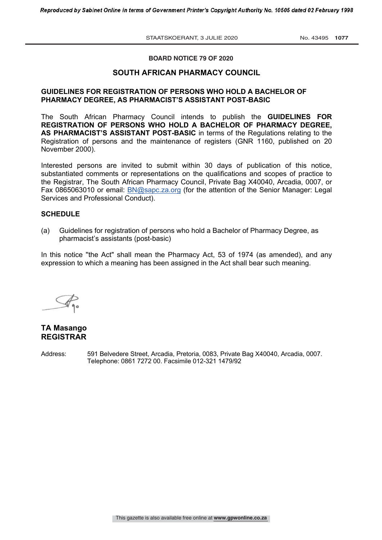STAATSKOERANT, 3 JULIE 2020 No. 43495 1077

# **BOARD NOTICE 79 OF 2020**

## **SOUTH AFRICAN PHARMACY COUNCIL**

## **GUIDELINES FOR REGISTRATION OF PERSONS WHO HOLD A BACHELOR OF PHARMACY DEGREE, AS PHARMACIST'S ASSISTANT POST-BASIC**

The South African Pharmacy Council intends to publish the **GUIDELINES FOR REGISTRATION OF PERSONS WHO HOLD A BACHELOR OF PHARMACY DEGREE, AS PHARMACIST'S ASSISTANT POST-BASIC** in terms of the Regulations relating to the Registration of persons and the maintenance of registers (GNR 1160, published on 20 November 2000).

Interested persons are invited to submit within 30 days of publication of this notice, substantiated comments or representations on the qualifications and scopes of practice to the Registrar, The South African Pharmacy Council, Private Bag X40040, Arcadia, 0007, or Fax 0865063010 or email: BN@sapc.za.org (for the attention of the Senior Manager: Legal Services and Professional Conduct).

#### **SCHEDULE**

(a) Guidelines for registration of persons who hold a Bachelor of Pharmacy Degree, as pharmacist's assistants (post-basic)

In this notice ''the Act" shall mean the Pharmacy Act, 53 of 1974 (as amended), and any expression to which a meaning has been assigned in the Act shall bear such meaning.

# **TA Masango REGISTRAR**

Address: 591 Belvedere Street, Arcadia, Pretoria, 0083, Private Bag X40040, Arcadia, 0007. Telephone: 0861 7272 00. Facsimile 012-321 1479/92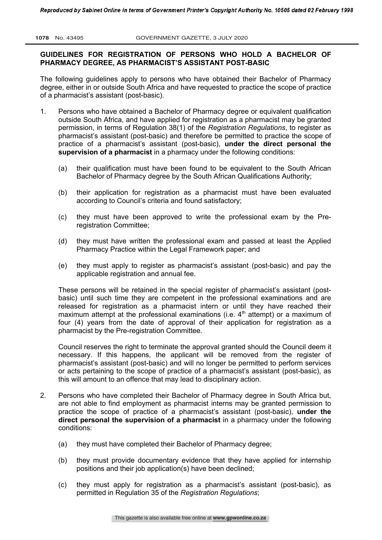# **GUIDELINES FOR REGISTRATION OF PERSONS WHO HOLD A BACHELOR OF PHARMACY DEGREE, AS PHARMACIST'S ASSISTANT POST-BASIC**

The following guidelines apply to persons who have obtained their Bachelor of Pharmacy degree, either in or outside South Africa and have requested to practice the scope of practice of a pharmacist's assistant (post-basic).

- 1. Persons who have obtained a Bachelor of Pharmacy degree or equivalent qualification outside South Africa, and have applied for registration as a pharmacist may be granted permission, in terms of Regulation 38(1) of the *Registration Regulations*, to register as pharmacist's assistant (post-basic) and therefore be permitted to practice the scope of practice of a pharmacist's assistant (post-basic), **under the direct personal the supervision of a pharmacist** in a pharmacy under the following conditions:
	- (a) their qualification must have been found to be equivalent to the South African Bachelor of Pharmacy degree by the South African Qualifications Authority;
	- (b) their application for registration as a pharmacist must have been evaluated according to Council's criteria and found satisfactory;
	- (c) they must have been approved to write the professional exam by the Preregistration Committee;
	- (d) they must have written the professional exam and passed at least the Applied Pharmacy Practice within the Legal Framework paper; and
	- (e) they must apply to register as pharmacist's assistant (post-basic) and pay the applicable registration and annual fee.

These persons will be retained in the special register of pharmacist's assistant (postbasic) until such time they are competent in the professional examinations and are released for registration as a pharmacist intern or until they have reached their maximum attempt at the professional examinations (i.e.  $4<sup>th</sup>$  attempt) or a maximum of four (4) years from the date of approval of their application for registration as a pharmacist by the Pre-registration Committee.

Council reserves the right to terminate the approval granted should the Council deem it necessary. If this happens, the applicant will be removed from the register of pharmacist's assistant (post-basic) and will no longer be permitted to perform services or acts pertaining to the scope of practice of a pharmacist's assistant (post-basic), as this will amount to an offence that may lead to disciplinary action.

- 2. Persons who have completed their Bachelor of Pharmacy degree in South Africa but, are not able to find employment as pharmacist interns may be granted permission to practice the scope of practice of a pharmacist's assistant (post-basic), **under the direct personal the supervision of a pharmacist** in a pharmacy under the following conditions:
	- (a) they must have completed their Bachelor of Pharmacy degree;
	- (b) they must provide documentary evidence that they have applied for internship positions and their job application(s) have been declined;
	- (c) they must apply for registration as a pharmacist's assistant (post-basic), as permitted in Regulation 35 of the *Registration Regulations*;